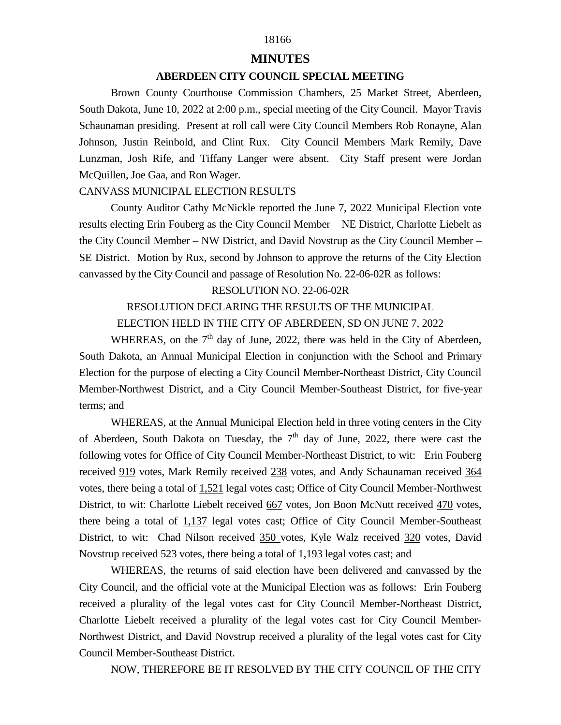## 18166

#### **MINUTES**

## **ABERDEEN CITY COUNCIL SPECIAL MEETING**

 Brown County Courthouse Commission Chambers, 25 Market Street, Aberdeen, South Dakota, June 10, 2022 at 2:00 p.m., special meeting of the City Council. Mayor Travis Schaunaman presiding. Present at roll call were City Council Members Rob Ronayne, Alan Johnson, Justin Reinbold, and Clint Rux. City Council Members Mark Remily, Dave Lunzman, Josh Rife, and Tiffany Langer were absent. City Staff present were Jordan McQuillen, Joe Gaa, and Ron Wager.

### CANVASS MUNICIPAL ELECTION RESULTS

 County Auditor Cathy McNickle reported the June 7, 2022 Municipal Election vote results electing Erin Fouberg as the City Council Member – NE District, Charlotte Liebelt as the City Council Member – NW District, and David Novstrup as the City Council Member – SE District. Motion by Rux, second by Johnson to approve the returns of the City Election canvassed by the City Council and passage of Resolution No. 22-06-02R as follows:

#### RESOLUTION NO. 22-06-02R

# RESOLUTION DECLARING THE RESULTS OF THE MUNICIPAL

# ELECTION HELD IN THE CITY OF ABERDEEN, SD ON JUNE 7, 2022

WHEREAS, on the  $7<sup>th</sup>$  day of June, 2022, there was held in the City of Aberdeen, South Dakota, an Annual Municipal Election in conjunction with the School and Primary Election for the purpose of electing a City Council Member-Northeast District, City Council Member-Northwest District, and a City Council Member-Southeast District, for five-year terms; and

 WHEREAS, at the Annual Municipal Election held in three voting centers in the City of Aberdeen, South Dakota on Tuesday, the  $7<sup>th</sup>$  day of June, 2022, there were cast the following votes for Office of City Council Member-Northeast District, to wit: Erin Fouberg received 919 votes, Mark Remily received 238 votes, and Andy Schaunaman received 364 votes, there being a total of 1,521 legal votes cast; Office of City Council Member-Northwest District, to wit: Charlotte Liebelt received 667 votes, Jon Boon McNutt received 470 votes, there being a total of 1,137 legal votes cast; Office of City Council Member-Southeast District, to wit: Chad Nilson received 350 votes, Kyle Walz received 320 votes, David Novstrup received 523 votes, there being a total of 1,193 legal votes cast; and

 WHEREAS, the returns of said election have been delivered and canvassed by the City Council, and the official vote at the Municipal Election was as follows: Erin Fouberg received a plurality of the legal votes cast for City Council Member-Northeast District, Charlotte Liebelt received a plurality of the legal votes cast for City Council Member-Northwest District, and David Novstrup received a plurality of the legal votes cast for City Council Member-Southeast District.

NOW, THEREFORE BE IT RESOLVED BY THE CITY COUNCIL OF THE CITY